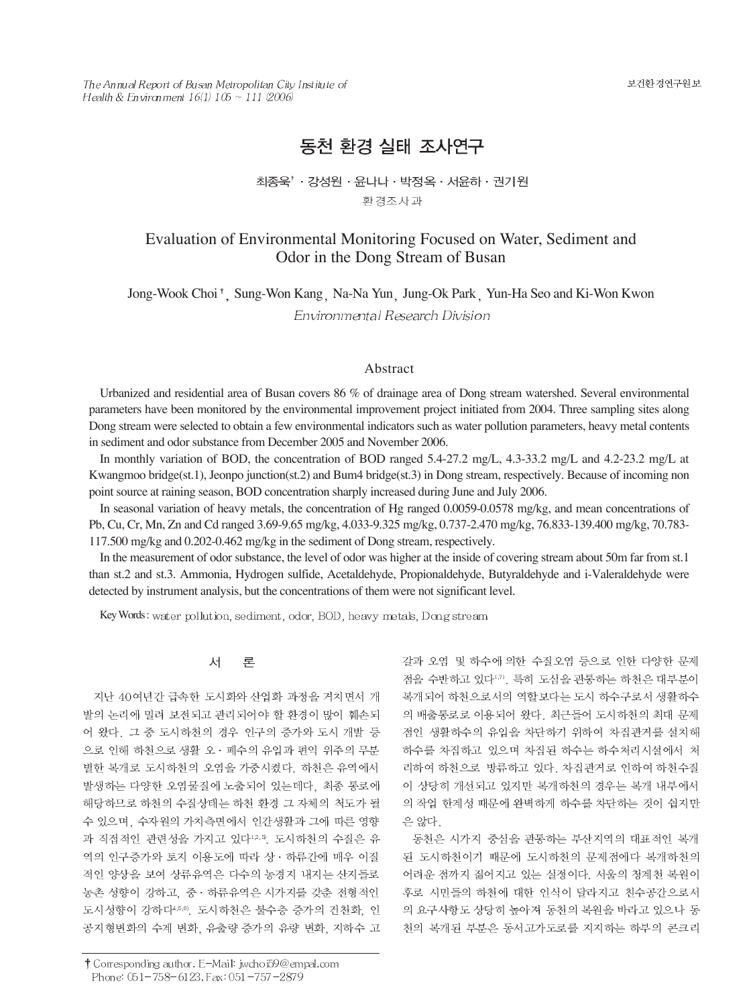The Annual Report of Busan Metropolitan City Institute of Health & Environment  $16(1)$   $105 \sim 111$  (2006)

보건환경연구원보

# 동천 환경 실태 조사연구

## 최종욱<sup>↑</sup> · 강성원 · 윤나나 · 박정옥 · 서윤하 · 권기원 환경조사과

## Evaluation of Environmental Monitoring Focused on Water, Sediment and Odor in the Dong Stream of Busan

Jong-Wook Choi<sup>†</sup>, Sung-Won Kang Na-Na Yun Jung-Ok Park Yun-Ha Seo and Ki-Won Kwon Environmental Research Division

#### Abstract

Urbanized and residential area of Busan covers 86 % of drainage area of Dong stream watershed. Several environmental parameters have been monitored by the environmental improvement project initiated from 2004. Three sampling sites along Dong stream were selected to obtain a few environmental indicators such as water pollution parameters, heavy metal contents in sediment and odor substance from December 2005 and November 2006.

In monthly variation of BOD, the concentration of BOD ranged 5.4-27.2 mg/L, 4.3-33.2 mg/L and 4.2-23.2 mg/L at Kwangmoo bridge(st.1), Jeonpo junction(st.2) and Bum4 bridge(st.3) in Dong stream, respectively. Because of incoming non point source at raining season, BOD concentration sharply increased during June and July 2006.

In seasonal variation of heavy metals, the concentration of Hg ranged 0.0059-0.0578 mg/kg, and mean concentrations of Pb, Cu, Cr, Mn, Zn and Cd ranged 3.69-9.65 mg/kg, 4.033-9.325 mg/kg, 0.737-2.470 mg/kg, 76.833-139.400 mg/kg, 70.783- 117.500 mg/kg and 0.202-0.462 mg/kg in the sediment of Dong stream, respectively.

In the measurement of odor substance, the level of odor was higher at the inside of covering stream about 50m far from st.1 than st.2 and st.3. Ammonia, Hydrogen sulfide, Acetaldehyde, Propionaldehyde, Butyraldehyde and i-Valeraldehyde were detected by instrument analysis, but the concentrations of them were not significant level.

Key Words: water pollution, sediment, odor, BOD, heavy metals, Dong stream

#### 对 론

지난 40여년간 급속한 도시화와 산업화 과정을 거치면서 개 발의 논리에 밀려 보전되고 관리되어야 할 환경이 많이 훼손되 어 왔다. 그 중 도시하천의 경우 인구의 증가와 도시 개발 등 으로 인해 하천으로 생활 오 · 폐수의 유입과 편익 위주의 무분 별한 복개로 도시하천의 오염을 가중시켰다. 하천은 유역에서 발생하는 다양한 오염물질에 노출되어 있는데다, 최종 통로에 해당하므로 하천의 수질상태는 하천 환경 그 자체의 척도가 될 수 있으며, 수자원의 가치측면에서 인간생활과 그에 따른 영향 과 직접적인 관련성을 가지고 있다<sup>1,2,3</sup>. 도시하천의 수질은 유 역의 인구증가와 토지 이용도에 따라 상 · 하류간에 매우 이질 적인 양상을 보여 상류유역은 다수의 농경지 내지는 산지들로 농촌 성향이 강하고, 중 · 하류유역은 시가지를 갖춘 전형적인 도시성향이 강하다4,5,6). 도시하천은 불수층 증가의 건천화, 인 공지형변화의 수계 변화, 유출량 증가의 유량 변화, 지하수 고 갈과 오염 및 하수에 의한 수질오염 등으로 인한 다양한 문제 접을 수반하고 있다<sup>니, 미</sup>. 특히 도심을 관통하는 하천은 대부분이 복개되어 하천으로서의 역할보다는 도시 하수구로서 생활하수 의 배출통로로 이용되어 왔다. 최근들어 도시하천의 최대 문제 점인 생활하수의 유입을 차단하기 위하여 차집관거를 설치해 하수를 차집하고 있으며 차집된 하수는 하수처리시설에서 처 리하여 하천으로 방류하고 있다. 차집관거로 인하여 하천수질 이 상당히 개선되고 있지만 복개하천의 경우는 복개 내부에서 의 작업 한계성 때문에 완벽하게 하수를 차단하는 것이 쉽지만 은 않다.

동천은 시가지 중심을 관통하는 부산지역의 대표적인 복개 된 도시하천이기 때문에 도시하천의 문제점에다 복개하천의 어려운 점까지 짊어지고 있는 실정이다. 서울의 청계천 복원이 후로 시민들의 하천에 대한 인식이 달라지고 친수공간으로서 의 요구사항도 상당히 높아져 동천의 복원을 바라고 있으나 동 천의 복개된 부분은 동서고가도로를 지지하는 하부의 콘크리

<sup>†</sup> Corresponding author. E-Mail: jwchoi59@empal.com Phone: 051-758-6123, Fax: 051-757-2879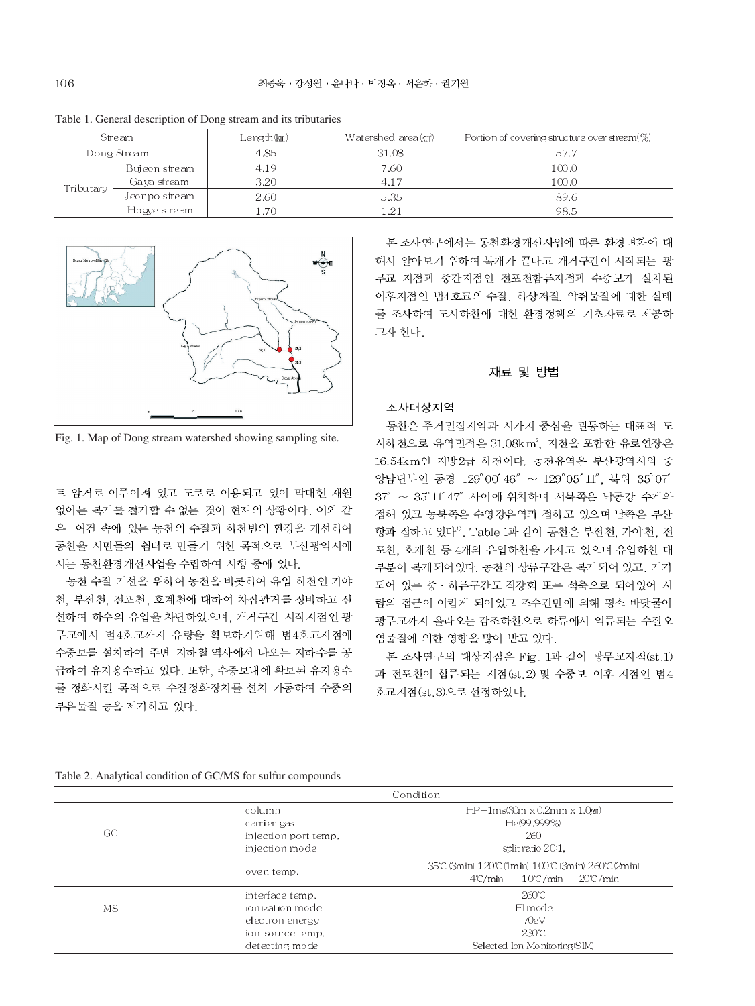| Stream      |               | Length (km) | Watershed area (km <sup>2</sup> ) | Portion of covering structure over $\text{stream}(\%)$ |
|-------------|---------------|-------------|-----------------------------------|--------------------------------------------------------|
| Dong Stream |               | 4.85        | 31.08                             | 57.7                                                   |
| Tributary   | Bujeon stream | 4.19        | 7.60                              | 100.0                                                  |
|             | Gaya stream   | 3.20        | 4.17                              | 100.0                                                  |
|             | Jeonpo stream | 2.60        | 5.35                              | 89.6                                                   |
|             | Hogye stream  | .70         | 1.21                              | 98.5                                                   |

Table 1. General description of Dong stream and its tributaries



Fig. 1. Map of Dong stream watershed showing sampling site.

트 암거로 이루어져 있고 도로로 이용되고 있어 막대한 재원 없이는 복개를 철거할 수 없는 것이 현재의 상황이다. 이와 같 은 여건 속에 있는 동천의 수질과 하천변의 환경을 개선하여 동천을 시민들의 쉼터로 만들기 위한 목적으로 부산광역시에 서는 동천환경개선사업을 수립하여 시행 중에 있다.

동천 수질 개선을 위하여 동천을 비롯하여 유입 하천인 가야 천, 부전천, 전포천, 호계천에 대하여 차집관거를 정비하고 신 설하여 하수의 유입을 차단하였으며, 개거구간 시작지점인 광 무교에서 범4호교까지 유량을 확보하기위해 범4호교지점에 수중보를 설치하여 주변 지하철 역사에서 나오는 지하수를 공 급하여 유지용수하고 있다. 또한, 수중보내에 확보된 유지용수 를 정화시킬 목적으로 수질정화장치를 설치 가동하여 수중의 부유물질 등을 제거하고 있다.

본 조사연구에서는 동천환경개선사업에 따른 환경변화에 대 해서 알아보기 위하여 복개가 끝나고 개거구간이 시작되는 광 무교 지점과 중간지점인 전포천합류지점과 수중보가 설치된 이후지점인 범4호교의 수질, 하상저질, 악취물질에 대한 실태 를 조사하여 도시하천에 대한 환경정책의 기초자료로 제공하 고자 한다.

#### 재료 및 방법

#### 조사대상지역

동천은 주거밀집지역과 시가지 중심을 관통하는 대표적 도 시하천으로 유역면적은 31.08km2, 지천을 포함한 유로연장은 16.54km인 지방2급 하천이다. 동천유역은 부산광역시의 중 앙남단부인 동경 129°00' 46" ~ 129°05' 11", 북위 35°07' 37" ~ 35°11'47" 사이에 위치하며 서북쪽은 낙동강 수계와 접해 있고 동북쪽은 수영강유역과 접하고 있으며 남쪽은 부산 항과 접하고 있다<sup>1</sup>. Table 1과 같이 동천은 부전천, 가야천, 전 포천, 호계천 등 4개의 유입하천을 가지고 있으며 유입하천 대 부분이 복개되어있다. 동천의 상류구간은 복개되어 있고, 개거 되어 있는 중 · 하류구간도 직강화 또는 석축으로 되어있어 사 람의 접근이 어렵게 되어있고 조수간만에 의해 평소 바닷물이 광무교까지 올라오는 감조하천으로 하류에서 역류되는 수질오 염물질에 의한 영향을 많이 받고 있다.

본 조사연구의 대상지점은 Fig. 1과 같이 광무교지점(st.1) 과 전포천이 합류되는 지점(st.2) 및 수중보 이후 지점인 범4 호교지점 (st.3)으로 선정하였다.

|  | Table 2. Analytical condition of GC/MS for sulfur compounds |  |  |  |  |
|--|-------------------------------------------------------------|--|--|--|--|
|  |                                                             |  |  |  |  |

|           | Condition            |                                                    |  |  |  |  |  |
|-----------|----------------------|----------------------------------------------------|--|--|--|--|--|
|           | column               | $HP-1ms(30m \times 0,2mm \times 1,0\mu)$           |  |  |  |  |  |
| GC        | carrier gas          | He(99,999%)                                        |  |  |  |  |  |
|           | injection port temp. | 260                                                |  |  |  |  |  |
|           | injection mode       | split ratio 20:1.                                  |  |  |  |  |  |
|           | oven temp.           | 35°C (3min) 120°C (1min) 100°C (3min) 260°C (2min) |  |  |  |  |  |
|           |                      | $10^{\circ}$ C/min<br>20℃/min<br>$4^{\circ}$ /min  |  |  |  |  |  |
|           | interface temp.      | 260°C                                              |  |  |  |  |  |
| <b>MS</b> | ionization mode      | Elmode                                             |  |  |  |  |  |
|           | electron energy      | 70eV                                               |  |  |  |  |  |
|           | ion source temp.     | $230^\circ$ C                                      |  |  |  |  |  |
|           | detecting mode       | Selected Ion Monitoring(SIM)                       |  |  |  |  |  |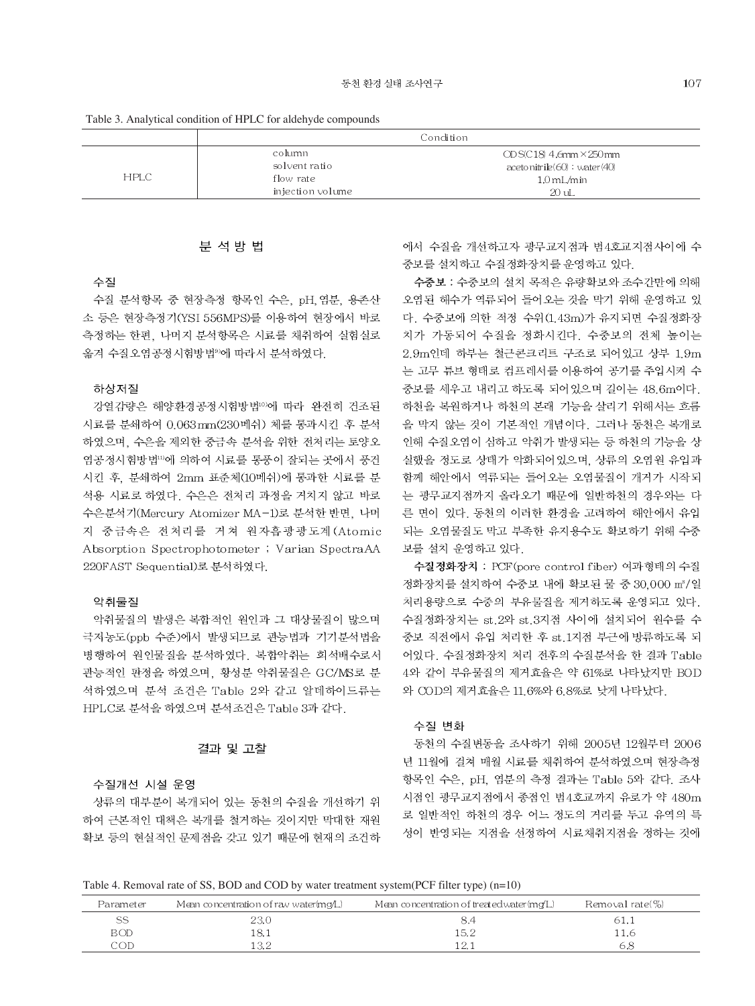Table 3. Analytical condition of HPLC for aldehyde compounds

|             | Condition        |                               |  |  |  |  |
|-------------|------------------|-------------------------------|--|--|--|--|
|             | column           | $ODSC18$ 4.6mm $\times$ 250mm |  |  |  |  |
| <b>HPLC</b> | solvent ratio    | acetonitrile(60) : water(40)  |  |  |  |  |
|             | flow rate        | $1.0 \text{ mL/min}$          |  |  |  |  |
|             | injection volume | $20 \text{ uL}$               |  |  |  |  |

#### 분 석 방 법

### 수질

수질 분석항목 중 현장측정 항목인 수은, pH, 염분, 용존산 소 등은 현장측정기(YSI 556MPS)를 이용하여 현장에서 바로 측정하는 한편 나머지 부석항목은 시료를 채취하여 실험실로 옮겨 수질오염공정시험방법<sup>90</sup>에 따라서 분석하였다.

#### 하상저질

강열감량은 해양환경공정시험방법10에 따라 완전히 건조된 시료를 분쇄하여 0.063mm(230메쉬) 체를 통과시킨 후 분석 하였으며, 수은을 제외한 중금속 분석을 위한 전처리는 토양오 염공정시험방법10에 의하여 시료를 통풍이 잘되는 곳에서 풍건 시킨 후, 분쇄하여 2mm 표준체(10메쉬)에 통과한 시료를 분 석용 시료로 하였다. 수은은 전처리 과정을 거치지 않고 바로 수은분석기(Mercury Atomizer MA-1)로 분석한 반면, 나머 지 중금속은 전처리를 거쳐 원자흡광광도계 (Atomic Absorption Spectrophotometer ; Varian SpectraAA 220FAST Sequential)로 분석하였다.

### 악취물질

악취물질의 발생은 복합적인 원인과 그 대상물질이 많으며 극저농도(ppb 수준)에서 발생되므로 관능법과 기기분석법을 병행하여 원인물질을 분석하였다. 복합악취는 희석배수로서 관능적인 판정을 하였으며, 황성분 악취물질은 GC/MS로 분 석하였으며 분석 조건은 Table 2와 같고 알데하이드류는 HPLC로 분석을 하였으며 분석조건은 Table 3과 같다.

#### 결과 및 고찰

#### 수질개선 시설 운영

상류의 대부분이 복개되어 있는 동천의 수질을 개선하기 위 하여 근본적인 대책은 복개를 철거하는 것이지만 막대한 재원 확보 등의 현실적인 문제점을 갖고 있기 때문에 현재의 조건하 에서 수질을 개선하고자 광무교지점과 범4호교지점사이에 수 중보를 설치하고 수질정화장치를 운영하고 있다.

수중보 : 수중보의 설치 목적은 유량확보와 조수간만에 의해 오염된 해수가 역류되어 들어오는 것을 막기 위해 운영하고 있 다. 수중보에 의한 적정 수위(1.43m)가 유지되면 수질정화장 치가 가동되어 수질을 정화시킨다. 수중보의 전체 높이는 2.9m인데 하부는 철근콘크리트 구조로 되어있고 상부 1.9m 는 고무 튜브 형태로 컴프레서를 이용하여 공기를 주입시켜 수 중보를 세우고 내리고 하도록 되어있으며 길이는 48.6m이다. 하천을 복원하거나 하천의 본래 기능을 살리기 위해서는 흐름 을 막지 않는 것이 기본적인 개념이다. 그러나 동천은 복개로 인해 수질오염이 심하고 악취가 발생되는 등 하천의 기능을 상 실했을 정도로 상태가 악화되어있으며, 상류의 오염원 유입과 함께 해안에서 역류되는 들어오는 오염물질이 개거가 시작되 는 광무교지점까지 올라오기 때문에 일반하천의 경우와는 다 른 면이 있다. 동천의 이러한 환경을 고려하여 해안에서 유입 되는 오염물질도 막고 부족한 유지용수도 확보하기 위해 수중 보를 설치 운영하고 있다.

수질정화장치 : PCF (pore control fiber) 여과형태의 수질 정화장치를 설치하여 수중보 내에 확보된 물 중 30,000 m3/일 처리용량으로 수중의 부유물질을 제거하도록 운영되고 있다. 수질정화장치는 st.2와 st.3지점 사이에 설치되어 원수를 수 중보 직전에서 유입 처리한 후 st.1지점 부근에 방류하도록 되 어있다. 수질정화장치 처리 전후의 수질분석을 한 결과 Table 4와 같이 부유물질의 제거효율은 약 61%로 나타났지만 BOD 와 COD의 제거효율은 11.6%와 6.8%로 낮게 나타났다.

#### 수질 변화

동천의 수질변동을 조사하기 위해 2005년 12월부터 2006 년 11월에 걸쳐 매월 시료를 채취하여 분석하였으며 현장측정 항목인 수은, pH, 염분의 측정 결과는 Table 5와 같다. 조사 시점인 광무교지점에서 종점인 범4호교까지 유로가 약 480m 로 일반적인 하천의 경우 어느 정도의 거리를 두고 유역의 특 성이 반영되는 지점을 선정하여 시료채취지점을 정하는 것에

|  |  |  |  |  |  | Table 4. Removal rate of SS, BOD and COD by water treatment system (PCF filter type) $(n=10)$ |
|--|--|--|--|--|--|-----------------------------------------------------------------------------------------------|
|--|--|--|--|--|--|-----------------------------------------------------------------------------------------------|

| Parameter  | Mean concentration of raw water(mg/ $\Box$ ) | Mean concentration of treated water (mg/L) | Removal rate(%) |
|------------|----------------------------------------------|--------------------------------------------|-----------------|
|            | 23.0                                         |                                            | 61.I            |
| <b>BOD</b> | l 8. 1                                       | 15.2                                       | . 1.6           |
| COD        | l 3.2                                        | ' 2.<br>14. L                              |                 |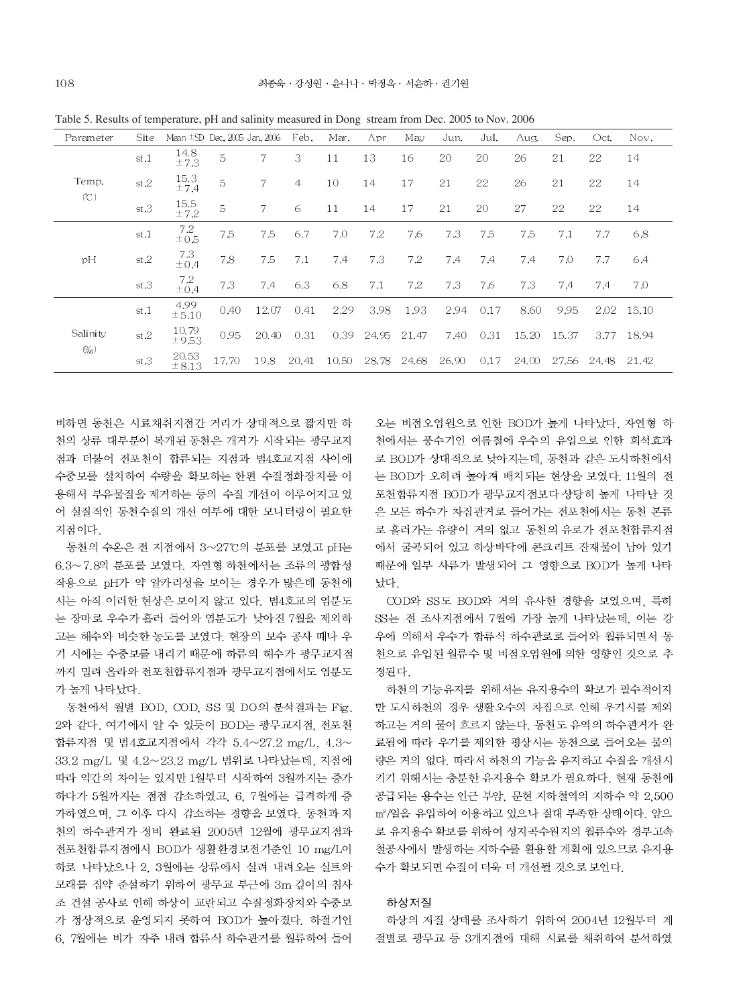| Parameter            | Site: | Mean $\pm$ SD Dec., 2005 Jan., 2006 |       |       | Feb.           | Mar.  | Apr        | May   | Jun.  | Jul. | Aug.  | Sep.  | Oct.  | Nov.       |
|----------------------|-------|-------------------------------------|-------|-------|----------------|-------|------------|-------|-------|------|-------|-------|-------|------------|
|                      | st.1  | 14.8<br>±7.3                        | 5     | 7     | 3              | 11    | 13         | 16    | 20    | 20   | 26    | 21    | 22    | 14         |
| Temp.                | st.2  | 15.3<br>±7.4                        | 5     | 7     | $\overline{4}$ | 10    | 14         | 17    | 21    | 22   | 26    | 21    | 22    | 14         |
| (C)                  | st.3  | 15.5<br>±7.2                        | 5     | 7     | 6              | 11    | 14         | 17    | 21    | 20   | 27    | 22    | 22    | 14         |
| pH                   | st.1  | 7.2<br>±0.5                         | 7.5   | 7.5   | 6.7            | 7.0   | 7.2        | 7.6   | 7.3   | 7.5  | 7.5   | 7.1   | 7.7   | 6.8        |
|                      | st.2  | 7.3<br>±0.4                         | 7.8   | 7.5   | 7.1            | 7.4   | 7.3        | 7.2   | 7.4   | 7.4  | 7.4   | 7.0   | 7.7   | 6.4        |
|                      | st.3  | 7.2<br>±0.4                         | 7.3   | 7.4   | 6.3            | 6.8   | 7.1        | 7.2   | 7.3   | 7.6  | 7.3   | 7.4   | 7.4   | 7,0        |
|                      | st.1  | 4.99<br>±5.10                       | 0.40  | 12.07 | 0.41           | 2.29  | 3.98       | 1.93  | 2.94  | 0.17 | 8.60  | 9.95  | 2.02  | - 15.10    |
| Salinity<br>$(\%_0)$ | st.2  | 10.79<br>±9.53                      | 0.95  | 20.40 | 0.31           |       | 0.39 24.95 | 21.47 | 7.40  | 0.31 | 15.20 | 15.37 |       | 3.77 18.94 |
|                      | st.3  | 20.53<br>$\pm 8.13$                 | 17.70 | 19.8  | 20.41          | 10.50 | 28.78      | 24.68 | 26,90 | 0.17 | 24.00 | 27.56 | 24.48 | 21.42      |

Table 5. Results of temperature, pH and salinity measured in Dong stream from Dec. 2005 to Nov. 2006

비하면 동천은 시료채취지점간 거리가 상대적으로 짧지만 하 천의 상류 대부분이 복개된 동천은 개거가 시작되는 광무교지 점과 더불어 전포천이 합류되는 지점과 범4호교지점 사이에 수중보를 설치하여 수량을 확보하는 한편 수질정화장치를 이 용해서 부유물질을 제거하는 등의 수질 개선이 이루어지고 있 어 실질적인 동천수질의 개선 여부에 대한 모니터링이 필요한 지점이다.

동천의 수온은 전 지점에서 3~27℃의 분포를 보였고 pH는 6.3~7.8의 분포를 보였다. 자연형 하천에서는 조류의 광합성 작용으로 pH가 약 알카리성을 보이는 경우가 많은데 동천에 서는 아직 이러한 현상은 보이지 않고 있다. 범4호교의 염분도 는 장마로 우수가 흘러 들어와 염분도가 낮아진 7월을 제외하 고는 해수와 비슷한 농도를 보였다. 현장의 보수 공사 때나 우 기 시에는 수중보를 내리기 때문에 하류의 해수가 광무교지점 까지 밀려 올라와 전포천합류지점과 광무교지점에서도 염분도 가 높게 나타났다.

동천에서 월별 BOD, COD, SS 및 DO의 분석결과는 Fig. 2와 같다. 여기에서 알 수 있듯이 BOD는 광무교지점. 전포천 합류지점 및 범4호교지점에서 각각 5.4~27.2 mg/L, 4.3~ 33.2 mg/L 및 4.2~23.2 mg/L 범위로 나타났는데, 지점에 따라 약간의 차이는 있지만 1월부터 시작하여 3월까지는 증가 하다가 5월까지는 점점 감소하였고, 6, 7월에는 급격하게 증 가하였으며, 그 이후 다시 감소하는 경향을 보였다. 동천과 지 천의 하수관거가 정비 완료된 2005년 12월에 광무교지점과 전포천합류지점에서 BOD가 생활환경보전기준인 10 mg/L이 하로 나타났으나 2. 3월에는 상류에서 실려 내려오는 실트와 모래를 집약 준설하기 위하여 광무교 부근에 3m 깊이의 침사 조 건설 공사로 인해 하상이 교란되고 수질정화장치와 수중보 가 정상적으로 운영되지 못하여 BOD가 높아졌다. 하절기인 6. 7월에는 비가 자주 내려 합류식 하수관거를 월류하여 들어 오는 비점오염원으로 인한 BOD가 높게 나타났다. 자연형 하 천에서는 풍수기인 여름철에 우수의 유입으로 인한 희석효과 로 BOD가 상대적으로 낮아지는데, 동천과 같은 도시하천에서 는 BOD가 오히려 높아져 배치되는 현상을 보였다. 11월의 전 포천합류지점 BOD가 광무교지점보다 상당히 높게 나타난 것 은 모든 하수가 차집관거로 들어가는 전포천에서는 동천 본류 로 흘러가는 유량이 거의 없고 동천의 유로가 전포천합류지점 에서 굴곡되어 있고 하상바닥에 콘크리트 잔재물이 남아 있기 때문에 일부 사류가 발생되어 그 영향으로 BOD가 높게 나타 났다.

COD와 SS도 BOD와 거의 유사한 경향을 보였으며, 특히 SS는 전 조사지점에서 7월에 가장 높게 나타났는데. 이는 강 우에 의해서 우수가 합류식 하수관로로 들어와 월류되면서 동 천으로 유입된 월류수 및 비점오염원에 의한 영향인 것으로 추 정된다.

하천의 기능유지를 위해서는 유지용수의 확보가 필수적이지 만 도시하천의 경우 생활오수의 차집으로 인해 우기시를 제외 하고는 거의 물이 흐르지 않는다. 동천도 유역의 하수관거가 완 료됨에 따라 우기를 제외한 평상시는 동천으로 들어오는 물의 량은 거의 없다. 따라서 하천의 기능을 유지하고 수질을 개선시 키기 위해서는 충분한 유지용수 확보가 필요하다. 현재 동천에 공급되는 용수는 인근 부암, 문현 지하철역의 지하수 약 2,500 m3/일을 유입하여 이용하고 있으나 절대 부족한 상태이다. 앞으 로 유지용수 확보를 위하여 성지곡수원지의 월류수와 경부고속 철공사에서 발생하는 지하수를 활용할 계획에 있으므로 유지용 수가 확보되면 수질이 더욱 더 개선될 것으로 보인다.

#### 하상저질

하상의 저질 상태를 조사하기 위하여 2004년 12월부터 계 절별로 광무교 등 3개지점에 대해 시료를 채취하여 분석하였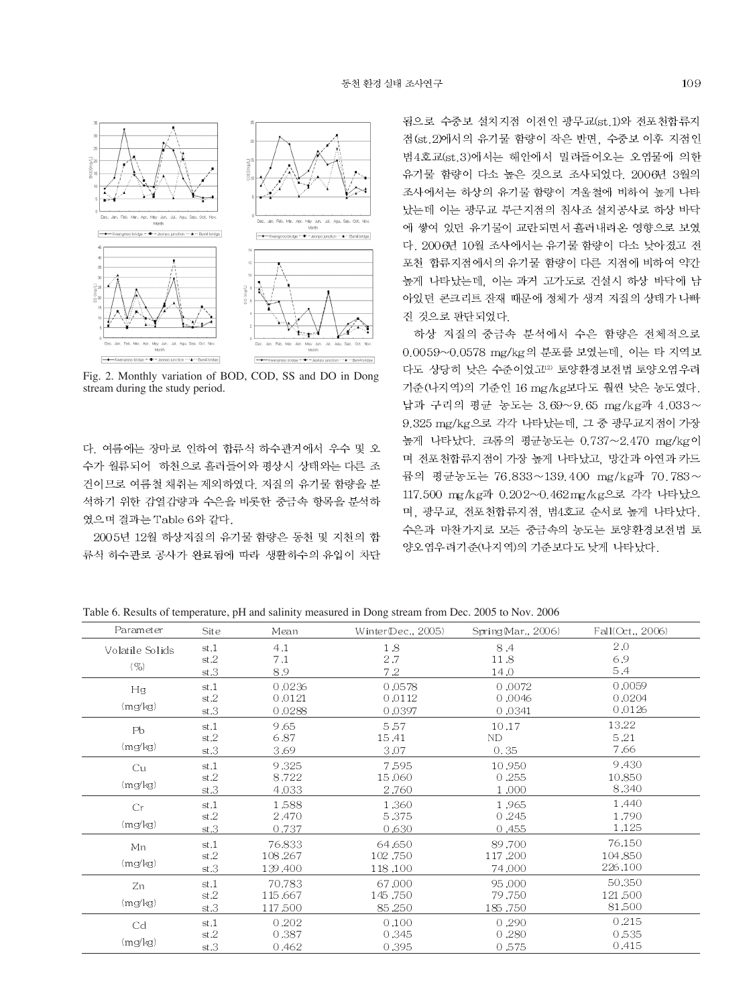

Fig. 2. Monthly variation of BOD, COD, SS and DO in Dong stream during the study period.

다. 여름에는 장마로 인하여 합류식 하수관거에서 우수 및 오 수가 월류되어 하천으로 흘러들어와 평상시 상태와는 다른 조 건이므로 여름철 채취는 제외하였다. 저질의 유기물 함량을 분 석하기 위한 감열감량과 수은을 비롯한 중금속 항목을 분석하 였으며 결과는 Table 6와 같다.

2005년 12월 하상저질의 유기물 함량은 동천 및 지천의 합 류식 하수관로 공사가 완료됨에 따라 생활하수의 유입이 차단 됨으로 수중보 설치지점 이전인 광무교(st.1)와 전포천합류지 점(st.2)에서의 유기물 함량이 작은 반면, 수중보 이후 지점인 범4호교(st.3)에서는 해안에서 밀려들어오는 오염물에 의한 유기물 함량이 다소 높은 것으로 조사되었다. 2006년 3월의 조사에서는 하상의 유기물 함량이 겨울철에 비하여 높게 나타 났는데 이는 광무교 부근지점의 침사조 설치공사로 하상 바닥 에 쌓여 있던 유기물이 교란되면서 흘러내려온 영향으로 보였 다. 2006년 10월 조사에서는 유기물 함량이 다소 낮아졌고 전 포천 합류지점에서의 유기물 함량이 다른 지점에 비하여 약간 높게 나타났는데, 이는 과거 고가도로 건설시 하상 바닥에 남 아있던 콘크리트 잔재 때문에 정체가 생겨 저질의 상태가 나빠 진 것으로 판단되었다.

하상 저질의 중금속 분석에서 수은 함량은 전체적으로 0.0059~0.0578 mg/kg의 분포를 보였는데, 이는 타 지역보 다도 상당히 낮은 수준이었고<sup>12)</sup> 토양환경보전법 토양오염우려 기준(나지역)의 기준인 16 mg/kg보다도 훨씬 낮은 농도였다. 납과 구리의 평균 농도는 3.69~9.65 mg/kg과 4.033~ 9.325 mg/kg으로 각각 나타났는데, 그 중 광무교지점이 가장 높게 나타났다. 크롬의 평균농도는 0.737~2.470 mg/kg이 며 전포천합류지점이 가장 높게 나타났고, 망간과 아연과 카드 뮴의 평균농도는 76.833~139.400 mg/kg과 70.783~ 117.500 mg/kg과 0.202~0.462mg/kg으로 각각 나타났으 며, 광무교, 전포천합류지점, 범4호교 순서로 높게 나타났다. 수은과 마찬가지로 모든 중금속의 농도는 토양환경보전법 토 양오염우려기준(나지역)의 기준보다도 낮게 나타났다.

Table 6. Results of temperature, pH and salinity measured in Dong stream from Dec. 2005 to Nov. 2006

| Parameter       | Site | Mean    | Winter(Dec., 2005) | Spring (Mar., 2006) | Fall(Oct., 2006) |  |
|-----------------|------|---------|--------------------|---------------------|------------------|--|
| Volatile Solids | st.1 | 4.1     | 1.8                | 8.4                 | 2,0              |  |
|                 | st.2 | 7.1     | 2.7                | 11.8                | 6.9              |  |
| (9)             | st.3 | 8.9     | 7.2                | 14.0                | 5.4              |  |
| Hg              | st.1 | 0.0236  | 0.0578             | 0.0072              | 0,0059           |  |
|                 | st.2 | 0.0121  | 0.0112             | 0,0046              | 0.0204           |  |
| (mg/kg)         | st.3 | 0.0288  | 0.0397             | 0.0341              | 0.0126           |  |
| Pb              | st.1 | 9.65    | 5.57               | 10.17               | 13.22            |  |
|                 | st.2 | 6.87    | 15.41              | <b>ND</b>           | 5.21             |  |
| (mg/kg)         | st.3 | 3.69    | 3.07               | 0.35                | 7.66             |  |
| Cu              | st.1 | 9.325   | 7.595              | 10.950              | 9.430            |  |
|                 | st.2 | 8.722   | 15.060             | 0.255               | 10.850           |  |
| (mg/kg)         | st.3 | 4.033   | 2.760              | 1,000               | 8.340            |  |
| Cr              | st.1 | 1,588   | 1,360              | 1.965               | 1.440            |  |
|                 | st.2 | 2.470   | 5.375              | 0.245               | 1.790            |  |
| (mg/kg)         | st.3 | 0.737   | 0.630              | 0,455               | 1.125            |  |
| Mn              | st.1 | 76.833  | 64,650             | 89.700              | 76,150           |  |
|                 | st.2 | 108.267 | 102.750            | 117.200             | 104.850          |  |
| (mg/kg)         | st.3 | 139.400 | 118,100            | 74.000              | 226,100          |  |
| Zn              | st.1 | 70.783  | 67,000             | 95,000              | 50,350           |  |
|                 | st.2 | 115,667 | 145.750            | 79.750              | 121,500          |  |
| (mg/kg)         | st.3 | 117,500 | 85,250             | 185,750             | 81,500           |  |
| Cd              | st.1 | 0.202   | 0.100              | 0,290               | 0.215            |  |
|                 | st.2 | 0.387   | 0.345              | 0.280               | 0.535            |  |
| (mg/kg)         | st.3 | 0.462   | 0.395              | 0.575               | 0.415            |  |
|                 |      |         |                    |                     |                  |  |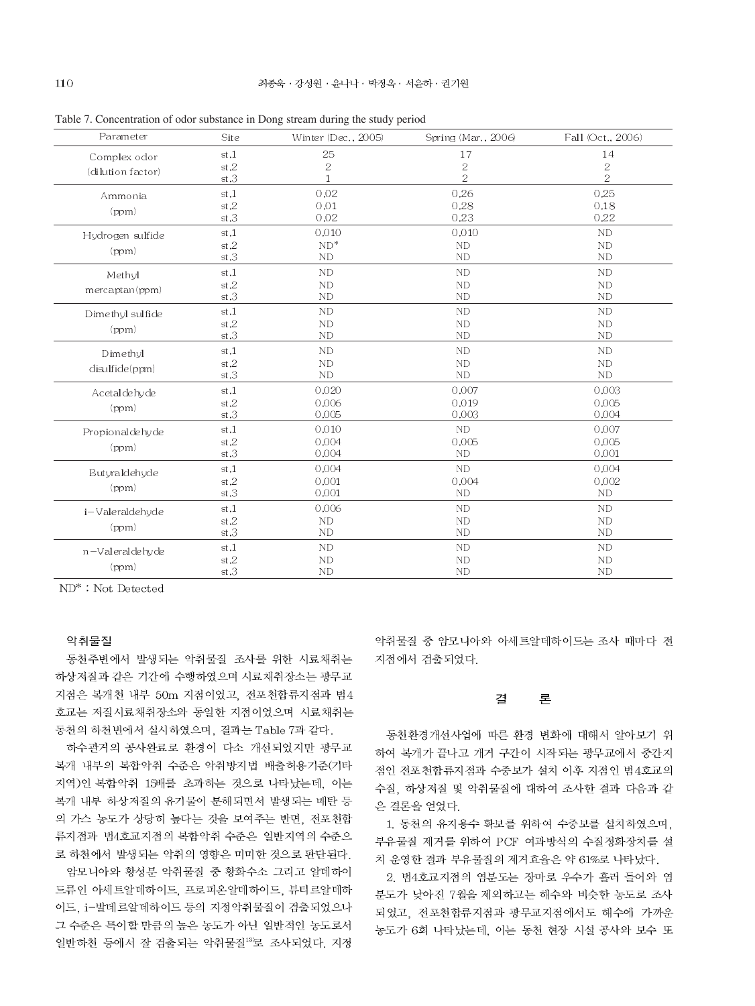| Parameter                         | Site                 | Winter (Dec., 2005)              | Spring (Mar., 2006)            | Fall (Oct., 2006)                  |
|-----------------------------------|----------------------|----------------------------------|--------------------------------|------------------------------------|
| Complex odor<br>(dilution factor) | st.1<br>st.2<br>st.3 | 25<br>$\sqrt{2}$<br>$\mathbf{1}$ | 17<br>$\sqrt{2}$<br>$\sqrt{2}$ | 14<br>$\sqrt{2}$<br>$\overline{2}$ |
| Ammonia<br>(ppm)                  | st.1<br>st.2<br>st.3 | 0.02<br>0.01<br>0.02             | 0.26<br>0.28<br>0.23           | 0.25<br>0.18<br>0.22               |
| Hydrogen sulfide<br>(ppm)         | st.1<br>st.2<br>st.3 | 0.010<br>$ND^*$<br>ND            | 0.010<br>ND<br>ND              | ND<br>ND<br>ND                     |
| Methyl<br>mercaptan(ppm)          | st.1<br>st.2<br>st.3 | ND<br>ND<br>ND                   | ND<br>ND<br>ND                 | <b>ND</b><br>ND<br>ND              |
| Dimethyl sulfide<br>(ppm)         | st.1<br>st.2<br>st.3 | ND<br>ND<br><b>ND</b>            | ND<br>ND<br>ND                 | ND<br>ND<br>ND                     |
| Dimethyl<br>disulfide(ppm)        | st.1<br>st.2<br>st.3 | ND<br>ND<br>ND                   | ND<br>ND<br>ND                 | <b>ND</b><br>ND<br>ND              |
| Acetaldehyde<br>(ppm)             | st.1<br>st.2<br>st.3 | 0.020<br>0.006<br>0.005          | 0.007<br>0.019<br>0.003        | 0.003<br>0.005<br>0.004            |
| Propionaldehyde<br>(ppm)          | st.1<br>st.2<br>st.3 | 0.010<br>0.004<br>0.004          | ND<br>0.005<br><b>ND</b>       | 0.007<br>0.005<br>0.001            |
| Butyraldehyde<br>(ppm)            | st.1<br>st.2<br>st.3 | 0.004<br>0.001<br>0,001          | ND<br>0,004<br>ND              | 0.004<br>0.002<br><b>ND</b>        |
| i-Valeraldehyde<br>(ppm)          | st.1<br>st.2<br>st.3 | 0,006<br>ND<br>ND                | ND<br>ND<br>ND                 | ND<br>ND<br>ND                     |
| n-Valeraldehyde<br>(ppm)          | st.1<br>st.2<br>st.3 | ND<br>ND<br>ND                   | ND<br>ND<br>ND                 | ND<br>ND<br>ND                     |

Table 7. Concentration of odor substance in Dong stream during the study period

ND<sup>\*</sup>: Not Detected

#### 악취물질

동천주변에서 발생되는 악취물질 조사를 위한 시료채취는 하상저질과 같은 기간에 수행하였으며 시료채취장소는 광무교 지점은 복개천 내부 50m 지점이었고, 전포천합류지점과 범4 호교는 저질시료채취장소와 동일한 지점이었으며 시료채취는 동천의 하천변에서 실시하였으며, 결과는 Table 7과 같다.

하수관거의 공사완료로 환경이 다소 개선되었지만 광무교 복개 내부의 복합악취 수준은 악취방지법 배출허용기준(기타 지역)인 복합악취 15배를 초과하는 것으로 나타났는데, 이는 복개 내부 하상저질의 유기물이 분해되면서 발생되는 매탄 등 의 가스 농도가 상당히 높다는 것을 보여주는 반면, 전포천합 류지점과 범4호교지점의 복합악취 수준은 일반지역의 수준으 로 하천에서 발생되는 악취의 영향은 미미한 것으로 판단된다. 암모니아와 황성분 악취물질 중 황화수소 그리고 알데하이 드류인 아세트알데하이드, 프로피온알데하이드, 뷰티르알데하 이드, i-발데르알데하이드 등의 지정악취물질이 검출되었으나 그 수준은 특이할 만큼의 높은 농도가 아닌 일반적인 농도로서 일반하천 등에서 잘 검출되는 악취물질13로 조사되었다. 지정 악취물질 중 암모니아와 아세트알데하이드는 조사 때마다 전 지점에서 검출되었다.

#### 결 론

동천환경개선사업에 따른 환경 변화에 대해서 알아보기 위 하여 복개가 끝나고 개거 구간이 시작되는 광무교에서 중간지 점인 전포천합류지점과 수중보가 설치 이후 지점인 범4호교의 수질, 하상저질 및 악취물질에 대하여 조사한 결과 다음과 같 은 결론을 얻었다.

1. 동천의 유지용수 확보를 위하여 수중보를 설치하였으며, 부유물질 제거를 위하여 PCF 여과방식의 수질정화장치를 설 치 운영한 결과 부유물질의 제거효율은 약 61%로 나타났다.

2. 범4호교지점의 염분도는 장마로 우수가 흘러 들어와 염 분도가 낮아진 7월을 제외하고는 해수와 비슷한 농도로 조사 되었고, 전포천합류지점과 광무교지점에서도 해수에 가까운 농도가 6회 나타났는데, 이는 동천 현장 시설 공사와 보수 또